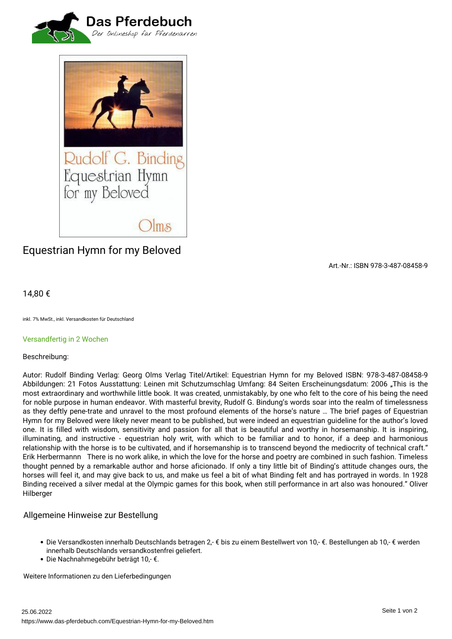



# *Equestrian Hymn for my Beloved*

*Art.-Nr.: ISBN 978-3-487-08458-9*

## *14,80 €*

*inkl. 7% MwSt., inkl. Versandkosten für Deutschland*

#### *Versandfertig in 2 Wochen*

#### *Beschreibung:*

*Autor: Rudolf Binding Verlag: Georg Olms Verlag Titel/Artikel: Equestrian Hymn for my Beloved ISBN: 978-3-487-08458-9 Abbildungen: 21 Fotos Ausstattung: Leinen mit Schutzumschlag Umfang: 84 Seiten Erscheinungsdatum: 2006 "This is the most extraordinary and worthwhile little book. It was created, unmistakably, by one who felt to the core of his being the need for noble purpose in human endeavor. With masterful brevity, Rudolf G. Bindung's words soar into the realm of timelessness as they deftly pene-trate and unravel to the most profound elements of the horse's nature … The brief pages of Equestrian Hymn for my Beloved were likely never meant to be published, but were indeed an equestrian guideline for the author's loved one. It is filled with wisdom, sensitivity and passion for all that is beautiful and worthy in horsemanship. It is inspiring, illuminating, and instructive - equestrian holy writ, with which to be familiar and to honor, if a deep and harmonious relationship with the horse is to be cultivated, and if horsemanship is to transcend beyond the mediocrity of technical craft." Erik Herbermannn There is no work alike, in which the love for the horse and poetry are combined in such fashion. Timeless thought penned by a remarkable author and horse aficionado. If only a tiny little bit of Binding's attitude changes ours, the horses will feel it, and may give back to us, and make us feel a bit of what Binding felt and has portrayed in words. In 1928 Binding received a silver medal at the Olympic games for this book, when still performance in art also was honoured." Oliver Hilberger*

### *Allgemeine Hinweise zur Bestellung*

- *Die Versandkosten innerhalb Deutschlands betragen 2,- € bis zu einem Bestellwert von 10,- €. Bestellungen ab 10,- € werden innerhalb Deutschlands versandkostenfrei geliefert.*
- *Die Nachnahmegebühr beträgt 10,- €.*

*Weitere Informationen zu den Lieferbedingungen*